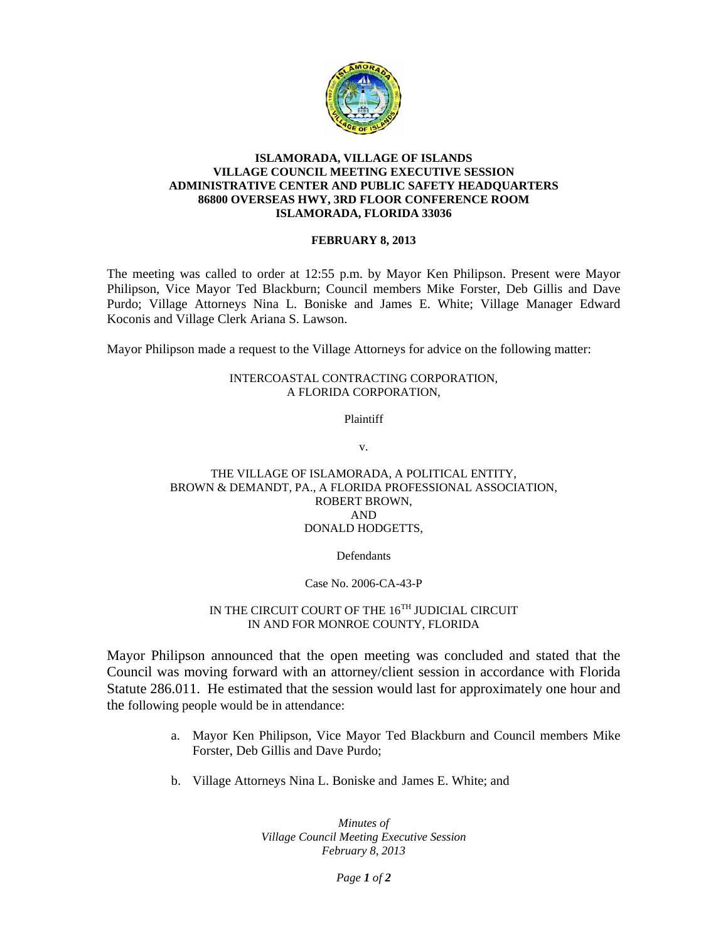

### **ISLAMORADA, VILLAGE OF ISLANDS VILLAGE COUNCIL MEETING EXECUTIVE SESSION ADMINISTRATIVE CENTER AND PUBLIC SAFETY HEADQUARTERS 86800 OVERSEAS HWY, 3RD FLOOR CONFERENCE ROOM ISLAMORADA, FLORIDA 33036**

#### **FEBRUARY 8, 2013**

The meeting was called to order at 12:55 p.m. by Mayor Ken Philipson. Present were Mayor Philipson, Vice Mayor Ted Blackburn; Council members Mike Forster, Deb Gillis and Dave Purdo; Village Attorneys Nina L. Boniske and James E. White; Village Manager Edward Koconis and Village Clerk Ariana S. Lawson.

Mayor Philipson made a request to the Village Attorneys for advice on the following matter:

### INTERCOASTAL CONTRACTING CORPORATION, A FLORIDA CORPORATION,

Plaintiff

v.

## THE VILLAGE OF ISLAMORADA, A POLITICAL ENTITY, BROWN & DEMANDT, PA., A FLORIDA PROFESSIONAL ASSOCIATION, ROBERT BROWN, AND DONALD HODGETTS,

### **Defendants**

### Case No. 2006-CA-43-P

# IN THE CIRCUIT COURT OF THE  $16^{TH}$  JUDICIAL CIRCUIT IN AND FOR MONROE COUNTY, FLORIDA

Mayor Philipson announced that the open meeting was concluded and stated that the Council was moving forward with an attorney/client session in accordance with Florida Statute 286.011. He estimated that the session would last for approximately one hour and the following people would be in attendance:

- a. Mayor Ken Philipson, Vice Mayor Ted Blackburn and Council members Mike Forster, Deb Gillis and Dave Purdo;
- b. Village Attorneys Nina L. Boniske and James E. White; and

*Minutes of Village Council Meeting Executive Session February 8, 2013*